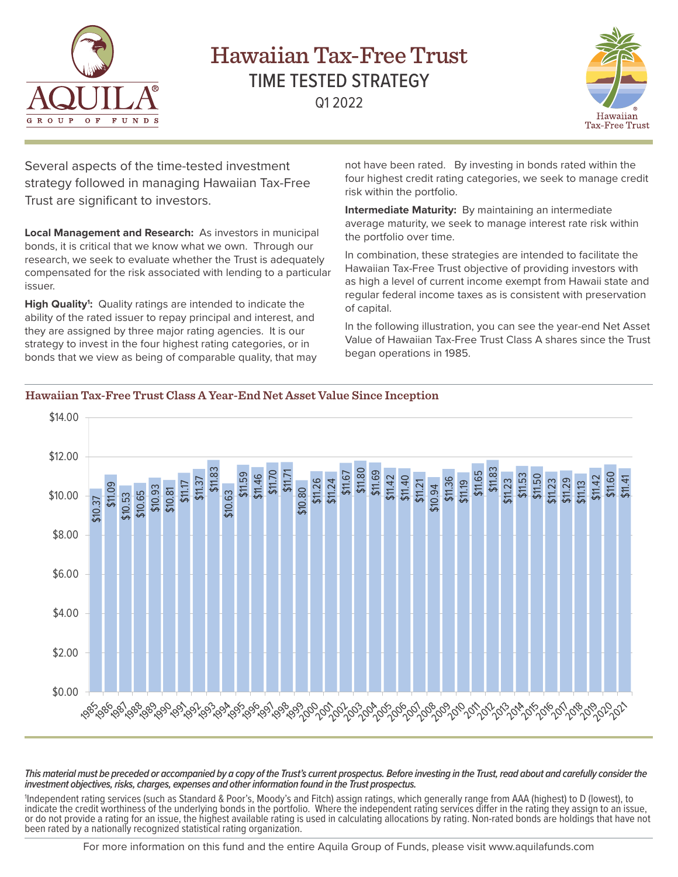

# Hawaiian Tax-Free Trust TIME TESTED STRATEGY Q1 2022



Several aspects of the time-tested investment strategy followed in managing Hawaiian Tax-Free Trust are significant to investors.

**Local Management and Research:** As investors in municipal bonds, it is critical that we know what we own. Through our research, we seek to evaluate whether the Trust is adequately compensated for the risk associated with lending to a particular issuer.

High Quality<sup>1</sup>: Quality ratings are intended to indicate the ability of the rated issuer to repay principal and interest, and they are assigned by three major rating agencies. It is our strategy to invest in the four highest rating categories, or in bonds that we view as being of comparable quality, that may not have been rated. By investing in bonds rated within the four highest credit rating categories, we seek to manage credit risk within the portfolio.

**Intermediate Maturity:** By maintaining an intermediate average maturity, we seek to manage interest rate risk within the portfolio over time.

In combination, these strategies are intended to facilitate the Hawaiian Tax-Free Trust objective of providing investors with as high a level of current income exempt from Hawaii state and regular federal income taxes as is consistent with preservation of capital.

In the following illustration, you can see the year-end Net Asset Value of Hawaiian Tax-Free Trust Class A shares since the Trust began operations in 1985.



#### **Hawaiian Tax-Free Trust Class A Year-End Net Asset Value Since Inception**

*This material must be preceded or accompanied by a copy of the Trust's current prospectus. Before investing in the Trust, read about and carefully consider the investment objectives, risks, charges, expenses and other information found in the Trust prospectus.* 

1 Independent rating services (such as Standard & Poor's, Moody's and Fitch) assign ratings, which generally range from AAA (highest) to D (lowest), to indicate the credit worthiness of the underlying bonds in the portfolio. Where the independent rating services differ in the rating they assign to an issue, or do not provide a rating for an issue, the highest available rating is used in calculating allocations by rating. Non-rated bonds are holdings that have not been rated by a nationally recognized statistical rating organization.